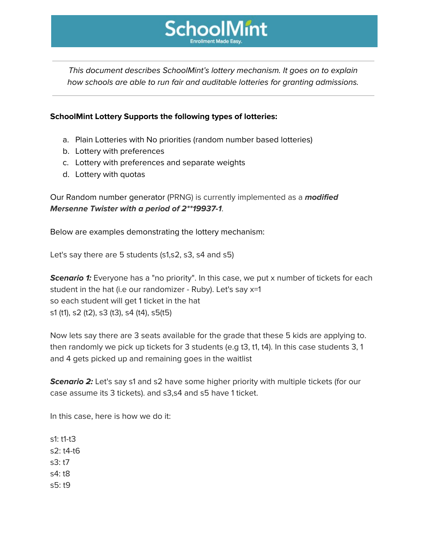

This document describes SchoolMint's lottery mechanism. It goes on to explain how schools are able to run fair and auditable lotteries for granting admissions.

## **SchoolMint Lottery Supports the following types of lotteries:**

- a. Plain Lotteries with No priorities (random number based lotteries)
- b. Lottery with preferences
- c. Lottery with preferences and separate weights
- d. Lottery with quotas

Our Random number generator (PRNG) is currently implemented as a **modified Mersenne Twister with a period of 2\*\*19937-1**.

Below are examples demonstrating the lottery mechanism:

Let's say there are 5 students (s1,s2, s3, s4 and s5)

**Scenario 1:** Everyone has a "no priority". In this case, we put x number of tickets for each student in the hat (i.e our randomizer - Ruby). Let's say x=1 so each student will get 1 ticket in the hat s1 (t1), s2 (t2), s3 (t3), s4 (t4), s5(t5)

Now lets say there are 3 seats available for the grade that these 5 kids are applying to. then randomly we pick up tickets for 3 students (e.g t3, t1, t4). In this case students 3, 1 and 4 gets picked up and remaining goes in the waitlist

**Scenario 2:** Let's say s1 and s2 have some higher priority with multiple tickets (for our case assume its 3 tickets). and s3,s4 and s5 have 1 ticket.

In this case, here is how we do it:

s1: t1-t3 s2: t4-t6 s3: t7 s4: t8 s5: t9